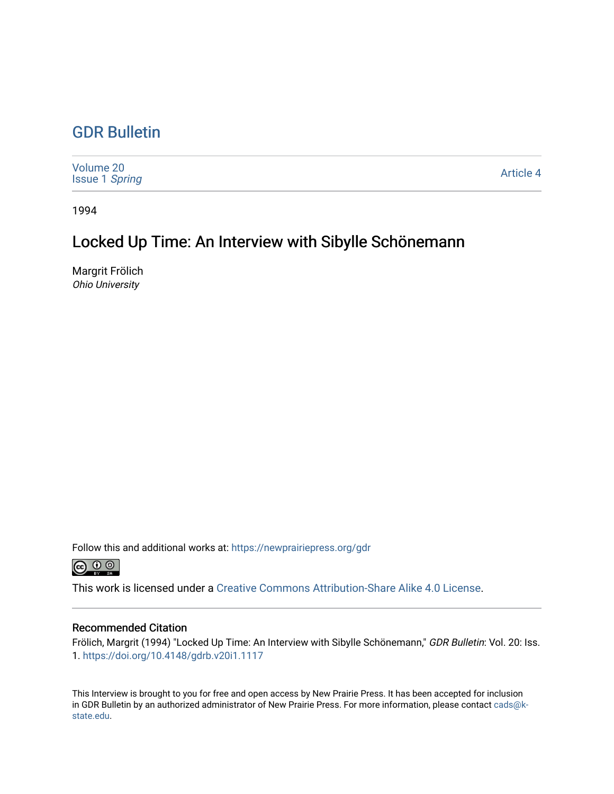## [GDR Bulletin](https://newprairiepress.org/gdr)

| Volume 20<br><b>Issue 1 Spring</b> | Article 4 |
|------------------------------------|-----------|
|------------------------------------|-----------|

1994

## Locked Up Time: An Interview with Sibylle Schönemann

Margrit Frölich Ohio University

Follow this and additional works at: [https://newprairiepress.org/gdr](https://newprairiepress.org/gdr?utm_source=newprairiepress.org%2Fgdr%2Fvol20%2Fiss1%2F4&utm_medium=PDF&utm_campaign=PDFCoverPages) 



This work is licensed under a [Creative Commons Attribution-Share Alike 4.0 License.](https://creativecommons.org/licenses/by-sa/4.0/)

## Recommended Citation

Frölich, Margrit (1994) "Locked Up Time: An Interview with Sibylle Schönemann," GDR Bulletin: Vol. 20: Iss. 1. <https://doi.org/10.4148/gdrb.v20i1.1117>

This Interview is brought to you for free and open access by New Prairie Press. It has been accepted for inclusion in GDR Bulletin by an authorized administrator of New Prairie Press. For more information, please contact [cads@k](mailto:cads@k-state.edu)[state.edu](mailto:cads@k-state.edu).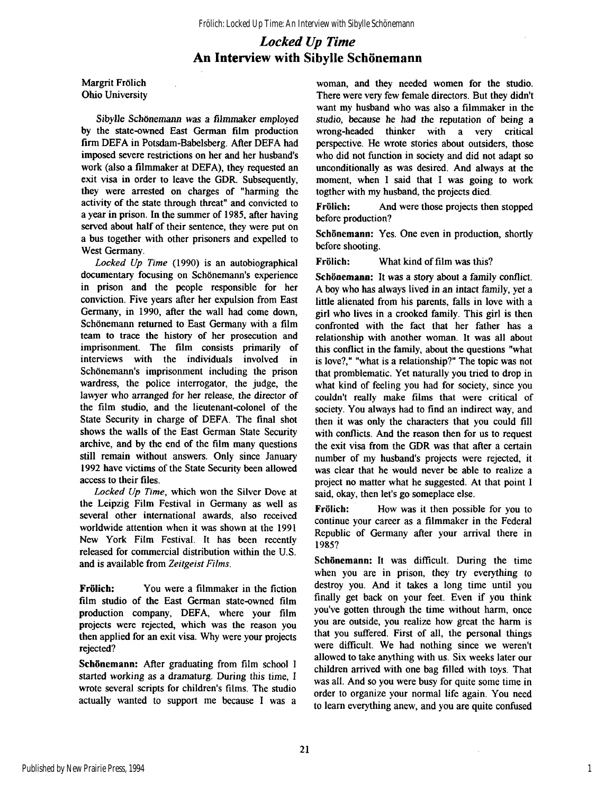## *Locked Up Time*  **An Interview with Sibylle Schönemann**

Margrit Frölich Ohio University

Sibylle Schönemann was a filmmaker employed by the state-owned East German film production firm DEFA in Potsdam-Babelsberg. After DEFA had imposed severe restrictions on her and her husband's work (also a filmmaker at DEFA), they requested an exit visa in order to leave the GDR. Subsequently, they were arrested on charges of "harming the activity of the state through threat" and convicted to a year in prison. In the summer of 1985, after having served about half of their sentence, they were put on a bus together with other prisoners and expelled to West Germany.

*Locked Up Time* (1990) is an autobiographical documentary focusing on Schönemann's experience in prison and the people responsible for her conviction. Five years after her expulsion from East Germany, in 1990, after the wall had come down, Schönemann returned to East Germany with a film team to trace the history of her prosecution and imprisonment. The film consists primarily of interviews with the individuals involved in Schönemann's imprisonment including the prison wardress, the police interrogator, the judge, the lawyer who arranged for her release, the director of the film studio, and the lieutenant-colonel of the State Security in charge of DEFA. The final shot shows the walls of the East German State Security archive, and by the end of the film many questions still remain without answers. Only since January 1992 have victims of the State Security been allowed access to their files.

*Locked Up Time,* which won the Silver Dove at the Leipzig Film Festival in Germany as well as several other international awards, also received worldwide attention when it was shown at the 1991 New York Film Festival. It has been recently released for commercial distribution within the U.S. and is available from *Zeitgeist Films.* 

Frölich: You were a filmmaker in the fiction film studio of the East German state-owned film production company, DEFA, where your film projects were rejected, which was the reason you then applied for an exit visa. Why were your projects rejected?

Schönemann: After graduating from film school I started working as a dramaturg. During this time, I wrote several scripts for children's films. The studio actually wanted to support me because I was a

woman, and they needed women for the studio. There were very few female directors. But they didn't want my husband who was also a filmmaker in the studio, because he had the reputation of being a wrong-headed thinker with a very critical perspective. He wrote stories about outsiders, those who did not function in society and did not adapt so unconditionally as was desired. And always at the moment, when I said that I was going to work togther with my husband, the projects died.

Frölich: And were those projects then stopped before production?

Schönemann: Yes. One even in production, shortly before shooting.

Frölich: What kind of film was this?

Schönemann: It was a story about a family conflict. A boy who has always lived in an intact family, yet a little alienated from his parents, falls in love with a girl who lives in a crooked family. This girl is then confronted with the fact that her father has a relationship with another woman. It was all about this conflict in the family, about the questions "what is love?," "what is a relationship?" The topic was not that problematic. Yet naturally you tried to drop in what kind of feeling you had for society, since you couldn't really make films that were critical of society. You always had to find an indirect way, and then it was only the characters that you could fill with conflicts. And the reason then for us to request the exit visa from the GDR was that after a certain number of my husband's projects were rejected, it was clear that he would never be able to realize a project no matter what he suggested. At that point I said, okay, then let's go someplace else.

Frölich: How was it then possible for you to continue your career as a filmmaker in the Federal Republic of Germany after your arrival there in 1985?

Schönemann: It was difficult. During the time when you are in prison, they try everything to destroy you. And it takes a long time until you finally get back on your feet. Even if you think you've gotten through the time without harm, once you are outside, you realize how great the harm is that you suffered. First of all, the personal things were difficult. We had nothing since we weren't allowed to take anything with us. Six weeks later our children arrived with one bag filled with toys. That was all. And so you were busy for quite some time in order to organize your normal life again. You need to learn everything anew, and you are quite confused

1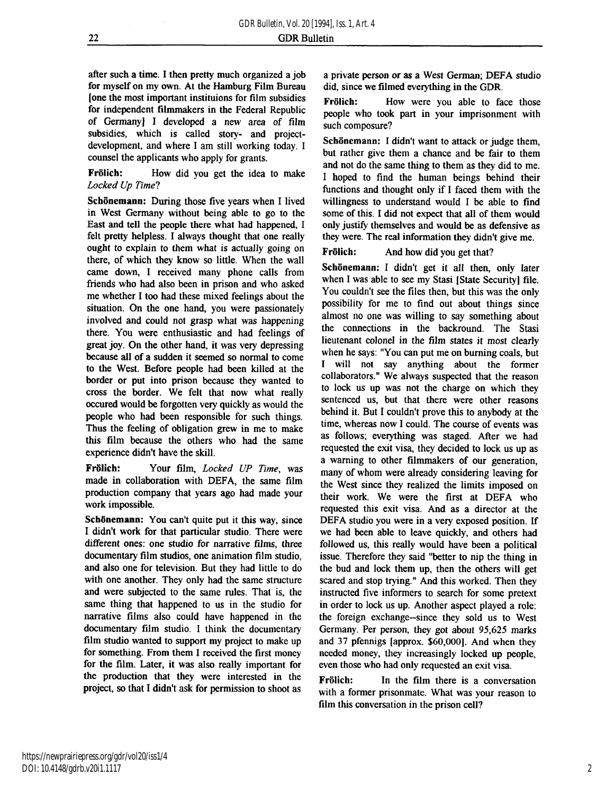after such **a** time. I then pretty much organized a job for myself on my own. At the Hamburg Film Bureau [one the most important instituions for film subsidies for independent filmmakers in the Federal Republic of Germany] I developed a new area of film subsidies, which is called story- and projectdevelopment, and where I am still working today. I counsel the applicants who apply for grants.

**Frölich:** How did you get the idea to make *Locked Up Time?* 

**Schönemann:** During those five years when I lived in West Germany without being able to go to the East and tell the people there what had happened, I felt pretty helpless. I always thought that one really ought to explain to them what is actually going on there, of which they know so little. When the wall came down, I received many phone calls from friends who had also been in prison and who asked me whether I too had these mixed feelings about the situation. On the one hand, you were passionately involved and could not grasp what was happening there. You were enthusiastic and had feelings of great joy. On the other hand, it was very depressing because all of a sudden it seemed so normal to come to the West. Before people had been killed at the border or put into prison because they wanted to cross the border. We felt that now what really occured would be forgotten very quickly as would the people who had been responsible for such things. Thus the feeling of obligation grew in me to make this film because the others who had the same experience didn't have the skill.

**Frölich:** Your film, *Locked UP Time,* was made in collaboration with DEFA, the same film production company that years ago had made your work impossible.

**Schönemann:** You can't quite put it this way, since I didn't work for that particular studio. There were different ones: one studio for narrative films, three documentary film studios, one animation film studio, and also one for television. But they had little to do with one another. They only had the same structure and were subjected to the same rules. That is, the same thing that happened to us in the studio for narrative films also could have happened in the documentary film studio. I think the documentary film studio wanted to support my project to make up for something. From them I received the first money for the film. Later, it was also really important for the production that they were interested in the project, so that I didn't ask for permission to shoot as

a private person or **as** a West German; DEF A studio did, since we filmed everything in the GDR.

**Frölich:** How were you able to face those people who took part in your imprisonment with such composure?

**Schönemann:** I didn't want to attack or judge them, but rather give them a chance and be fair to them and not do the same thing to them as they did to me. I hoped to find the human beings behind their functions and thought only if I faced them with the willingness to understand would I be able to find some of this. I did not expect that all of them would only justify themselves and would be as defensive as they were. The real information they didn't give me.

**Frölich:** And how did you get that?

**Schönemann:** I didn't get it all then, only later when I was able to see my Stasi [State Security] file. You couldn't see the files then, but this was the only possibility for me to find out about things since almost no one was willing to say something about the connections in the backround. The Stasi lieutenant colonel in the film states it most clearly when he says: "You can put me on burning coals, but I will not say anything about the former collaborators." We always suspected that the reason to lock us up was not the charge on which they sentenced us, but that there were other reasons behind it. But I couldn't prove this to anybody at the time, whereas now I could. The course of events was as follows; everything was staged. After we had requested the exit visa, they decided to lock us up as a warning to other filmmakers of our generation, many of whom were already considering leaving for the West since they realized the limits imposed on their work. We were the first at DEFA who requested this exit visa. And as a director at the DEFA studio you were in a very exposed position. If we had been able to leave quickly, and others had followed us, this really would have been a political issue. Therefore they said "better to nip the thing in the bud and lock them up, then the others will get scared and stop trying." And this worked. Then they instructed five informers to search for some pretext in order to lock us up. Another aspect played a role: the foreign exchange-since they sold us to West Germany. Per person, they got about 95,625 marks and 37 pfennigs [approx. \$60,000]. And when they needed money, they increasingly locked up people, even those who had only requested an exit visa.

**Frölich:** In the film there is a conversation with a former prisonmate. What was your reason to film this conversation in the prison cell?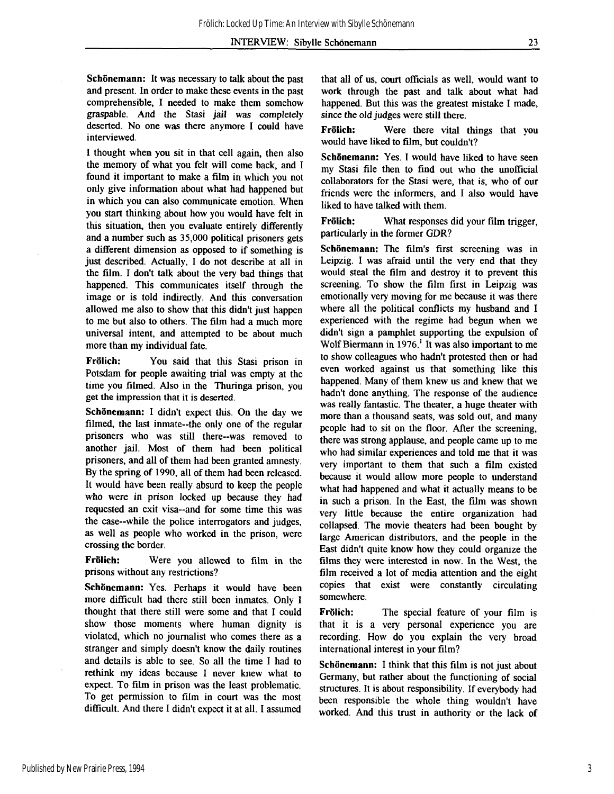**Schönemann:** It was necessary to talk about the past and present. In order to make these events in the past comprehensible, I needed to make them somehow graspable. And the Stasi jail was completely deserted. No one was there anymore I could have interviewed.

I thought when you sit in that cell again, then also the memory of what you felt will come back, and I found it important to make a film in which you not only give information about what had happened but in which you can also communicate emotion. When you start thinking about how you would have felt in this situation, then you evaluate entirely differently and a number such as 35,000 political prisoners gets a different dimension as opposed to if something is just described. Actually, I do not describe at all in the film. I don't talk about the very bad things that happened. This communicates itself through the image or is told indirectly. And this conversation allowed me also to show that this didn't just happen to me but also to others. The film had a much more universal intent, and attempted to be about much more than my individual fate.

**Frölich:** You said that this Stasi prison in Potsdam for people awaiting trial was empty at the time you filmed. Also in the Thuringa prison, you get the impression that it is deserted.

**Schönemann:** I didn't expect this. On the day we filmed, the last inmate--the only one of the regular prisoners who was still there--was removed to another jail. Most of them had been political prisoners, and all of them had been granted amnesty. By the spring of 1990, all of them had been released. It would have been really absurd to keep the people who were in prison locked up because they had requested an exit visa--and for some time this was the case—while the police interrogators and judges, as well as people who worked in the prison, were crossing the border.

**Frölich:** Were you allowed to film in the prisons without any restrictions?

**Schönemann:** Yes. Perhaps it would have been more difficult had there still been inmates. Only I thought that there still were some and that I could show those moments where human dignity is violated, which no journalist who comes there as a stranger and simply doesn't know the daily routines and details is able to see. So all the time I had to rethink my ideas because I never knew what to expect. To film in prison was the least problematic. To get permission to film in court was the most difficult. And there I didn't expect it at all. I assumed

that all of us, court officials as well, would want to work through the past and talk about what had happened. But this was the greatest mistake I made, since the old judges were still there.

**Frölich:** Were there vital things that you would have liked to film, but couldn't?

**Schönemann:** Yes. I would have liked to have seen my Stasi file then to find out who the unofficial collaborators for the Stasi were, that is, who of our friends were the informers, and I also would have liked to have talked with them.

**Frölich:** What responses did your film trigger, particularly in the former GDR?

**Schönemann:** The film's first screening was in Leipzig. I was afraid until the very end that they would steal the film and destroy it to prevent this screening. To show the film first in Leipzig was emotionally very moving for me because it was there where all the political conflicts my husband and I experienced with the regime had begun when we didn't sign a pamphlet supporting the expulsion of Wolf Biermann in  $1976<sup>1</sup>$  It was also important to me to show colleagues who hadn't protested then or had even worked against us that something like this happened. Many of them knew us and knew that we hadn't done anything. The response of the audience was really fantastic. The theater, a huge theater with more than a thousand seats, was sold out, and many people had to sit on the floor. After the screening, there was strong applause, and people came up to me who had similar experiences and told me that it was very important to them that such a film existed because it would allow more people to understand what had happened and what it actually means to be in such a prison. In the East, the film was shown very little because the entire organization had collapsed. The movie theaters had been bought by large American distributors, and the people in the East didn't quite know how they could organize the films they were interested in now. In the West, the film received a lot of media attention and the eight copies that exist were constantly circulating somewhere.

**Frölich:** The special feature of your film is that it is a very personal experience you are recording. How do you explain the very broad international interest in your film?

**Schönemann:** I think that this film is not just about Germany, but rather about the functioning of social structures. It is about responsibility. If everybody had been responsible the whole thing wouldn't have worked. And this trust in authority or the lack of